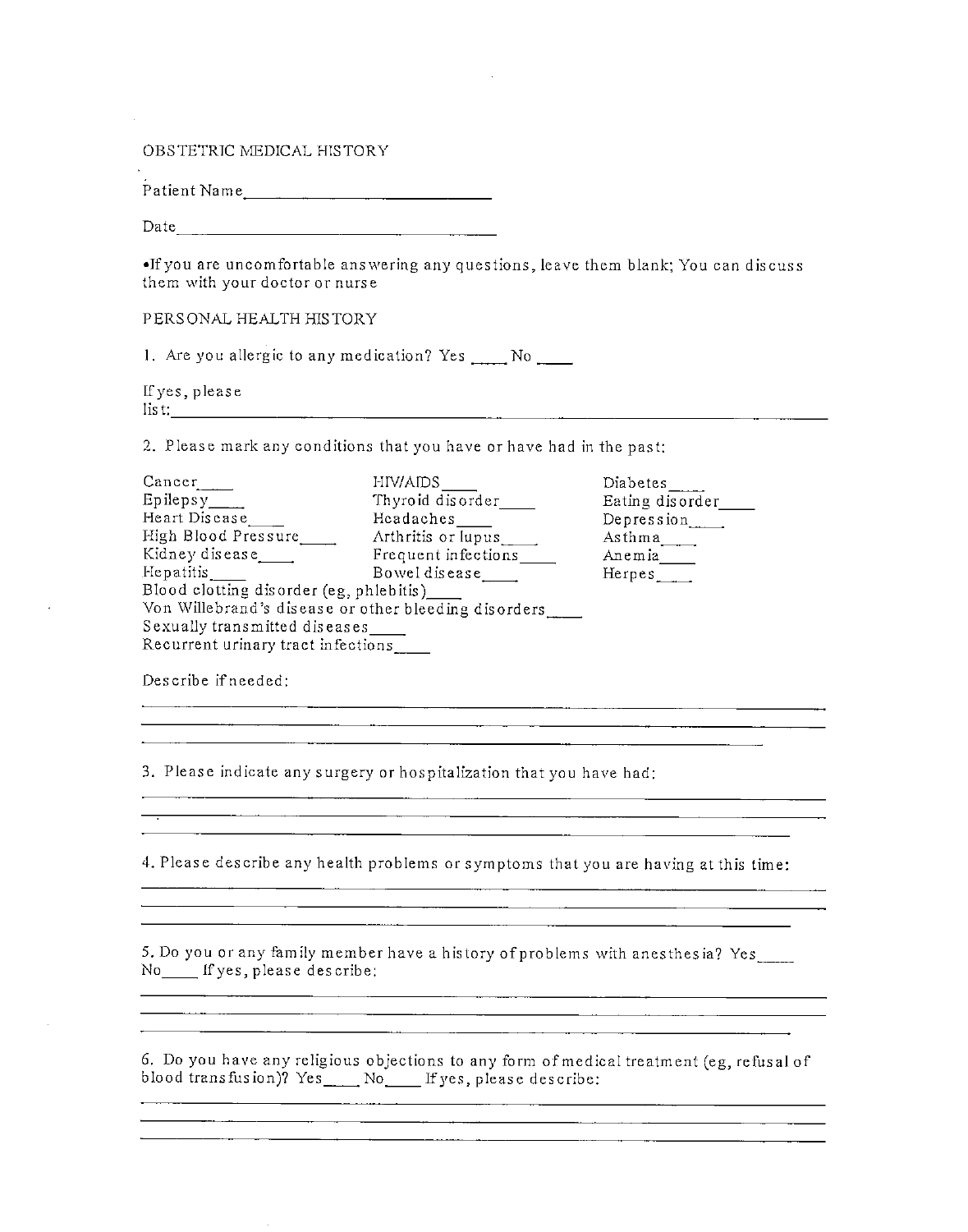OBSTETRIC MEDICAL HISTORY

Patient Name

Date

•Tf you are uncomfortable answering any questions, leave them blank; You can discuss them with your doctor or nurse

PERSONAL HEALTH HISTORY

1. Are you allergic to any medication? Yes \_\_\_\_ No \_\_\_\_

If yes, please list:

2. Please mark any conditions that you have or have had in the past:

| Cancer                                               | HIV/AIDS            | Diabetes_       |  |  |  |  |
|------------------------------------------------------|---------------------|-----------------|--|--|--|--|
|                                                      | Thyroid disorder    | Eating disorder |  |  |  |  |
| Heart Disease                                        | Headaches           | Depression      |  |  |  |  |
| High Blood Pressure                                  | Arthritis or lupus  | $\Delta s$ thma |  |  |  |  |
| Kidney disease                                       | Frequent infections | Anemia___       |  |  |  |  |
| Hepatitis.                                           | Bowel disease       | Herpes          |  |  |  |  |
| Blood clotting disorder (eg, phlebitis)_____         |                     |                 |  |  |  |  |
| Von Willebrand's disease or other bleeding disorders |                     |                 |  |  |  |  |
| Sexually transmitted diseases                        |                     |                 |  |  |  |  |
| Recurrent urinary tract infections                   |                     |                 |  |  |  |  |

Describe if needed:

3. Please indicate any surgery or hospitalization that you have had:

<u> 1980 - Johann Barn, mars an t-Amerikaansk politiker (</u>

<u>. In the community of the community of the community of the community of the community of the community of the community of the community of the community of the community of the community of the community of the communit</u>

4. Please describe any health problems or symptoms that you are having at this time:

<u> 1989 - Johann Johann Stone, mars and de former and de former and design and design and design and design and</u>

5. Do you or any family member have a history of problems with anesthesia? Yes\_\_\_ No If yes, please describe;

6. Do you have any religious objections to any form of medical treatment (eg, refusal of blood transfusion)?  $Yes$  No If yes, please describe: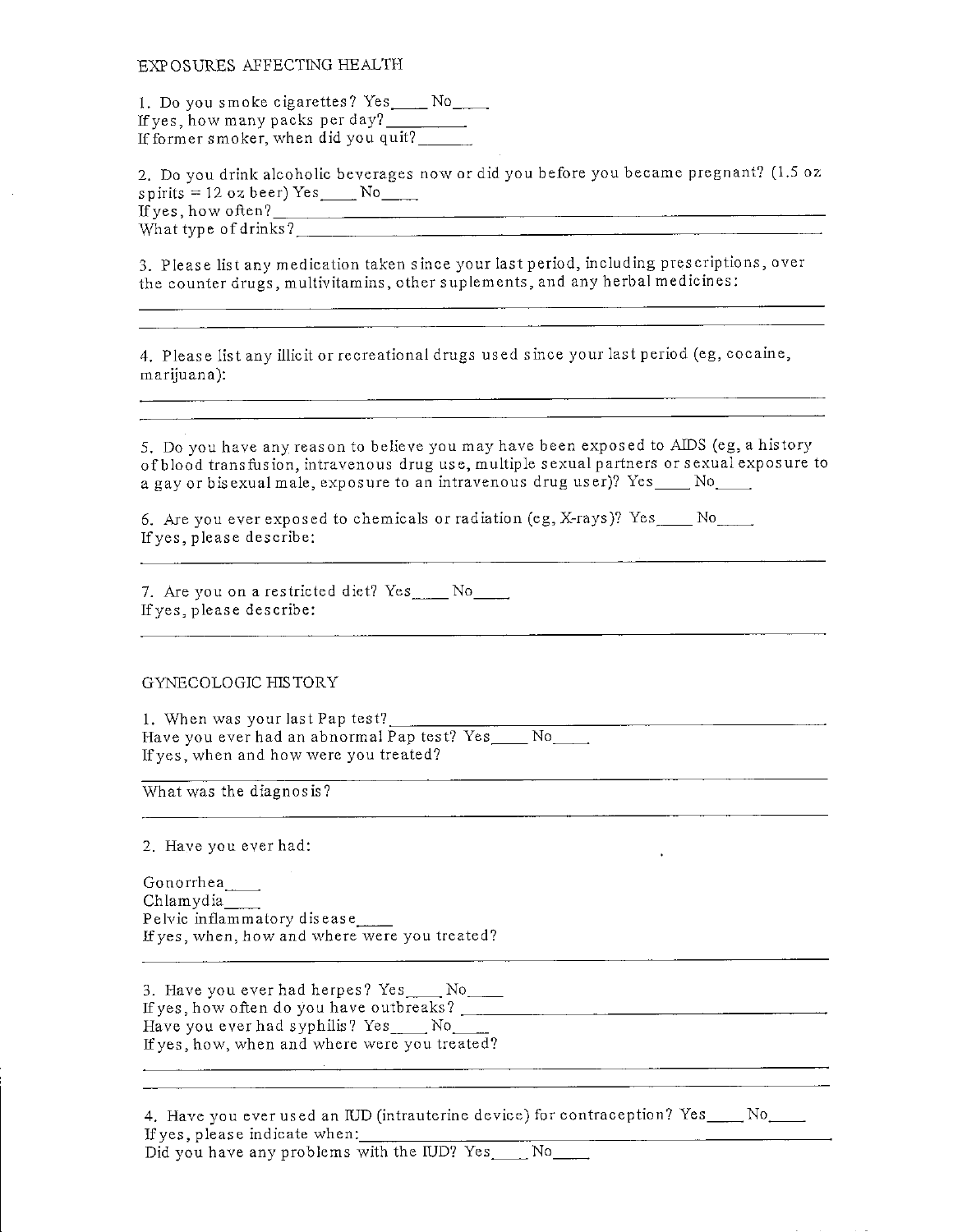## EXPOSURES AFFECTING HEALTH

1. Do you smoke cigarettes? Yes No If yes, how many packs per day? If former smoker, when did you quit?

2. Do you drink alcoholic beverages now or did you before you became pregnant? (1.5 oz  $s$  p irits = 12 oz beer) Yes  $\_\_$  No If yes, how often? What type of drinks?

3. Please list any medication taken since your last period, including prescriptions, over the counter drugs, multivitamins, other suplements, and any herbal medicines:

4. Please list any illicit or recreational drugs used since your last period (eg, cocaine, marijuana):

5. Do you have any reason to believe you may have been exposed to AIDS (eg, a history of blood transfusion, intravenous drug use, multiple sexual partners or sexual exposure to a gay or bisexual male, exposure to an intravenous drug user)? Yes No<sub>rm</sub>

6. Are you ever exposed to chemicals or radiation (eg, X-rays)?  $Yes \_ No \_ No$ Ifyes, please describe:

7. Are you on a restricted diet? Yes No Ifyes, please describe:

## GYNECOLOGIC HISTORY

1. When was your last Pap test?. Have you ever had an abnormal Pap test? Yes No Ifyes, when and how were you treated?

What was the diagnosis?

2. Have you ever had:

Gonorrhea Chlamydia Pelvic inflammatory disease Ifyes, when, how and where were you treated?

3. Have you ever had herpes? Yes \_\_\_\_ No\_\_\_\_ Ifyes, how often do you have outbreaks? \_\_ Have you ever had syphilis? Yes . No Ifyes, how, when and where were you treated?

|                               |  |  |                                              |  | 4. Have you ever used an IUD (intrauterine device) for contraception? Yes____No_ |  |
|-------------------------------|--|--|----------------------------------------------|--|----------------------------------------------------------------------------------|--|
| If yes, please indicate when: |  |  |                                              |  |                                                                                  |  |
|                               |  |  | Did you have any problems with the IUD? Yes_ |  |                                                                                  |  |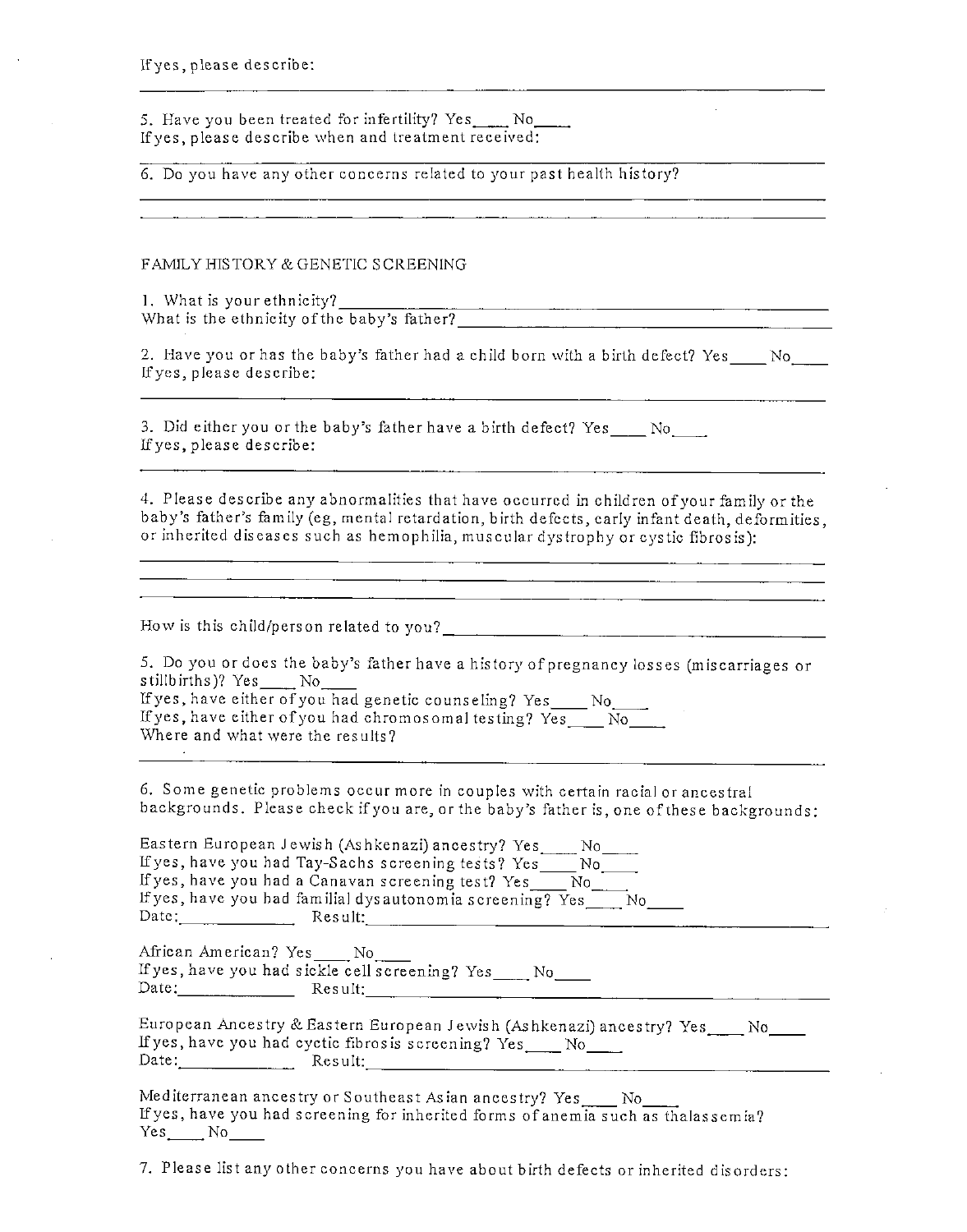If yes, please describe:

5. Have you been treated for infertility? Yes. No If yes, please describe when and treatment received:

6. Do you have any other concerns related to your past health history?

FAMILY HIS TORY & GENETIC SCREENING

1. What is your ethnicity? What is the ethnicity of the baby's father?

2. Have you or has the baby's father had a child born with a birth defect? Yes No Ifyes, please describe:

3. Did either you or the baby's father have a birth defect? Yes No If yes, please describe:

4. Please describe any abnormalities that have occurred in children of your family or the baby's father's family (eg, mental retardation, birth defects, early infant death, deformities, or inherited diseases such as hemophilia, muscular dystrophy or cystic fibrosis):

<u> 1990 - Johann John Stone, martin eta inperiodo eta mondo eta mondo eta mondo eta mondo eta mondo eta mondo e</u>

How is this child/person related to you? \_

5. Do you or does the baby's father have a history of pregnancy losses (miscarriages or stillbirths)? Yes No

Ifyes, have either ofyou had genetic counseling? Yes No\_ If yes, have either of you had chromosomal testing?  $Yes$  No Where and what were the results?

6. Some genetic problems occur more in couples with certain racial or ancestral backgrounds. Please check if you are, or the baby's father is, one of these backgrounds.

| Eastern European Jewish (Ashkenazi) ancestry? Yes<br>No.         |  |
|------------------------------------------------------------------|--|
| If yes, have you had Tay-Sachs screening tests? Yes<br>N٥        |  |
| If yes, have you had a Canavan screening test? Yes<br>No.        |  |
| If yes, have you had familial dysautonomia screening? Yes<br>No. |  |
| Date:<br>Result:                                                 |  |

African American? Yes No. Ifyes, have you had sickle cell screening? Yes Date: Result: Result: Result: Result: Result: Result: Result: Result: Result: Result: Result: Result: Result: Result: Result: Result: Result: Result: Result: Result: Result: Result: Result: Result: Result: Result: Result:

|       | European Ancestry & Eastern European Jewish (Ashkenazi) ancestry? Yes |  |
|-------|-----------------------------------------------------------------------|--|
|       | If yes, have you had cyctic fibrosis screening? Yes                   |  |
| Date: | Result:-                                                              |  |

Mediterranean ancestry or Southeast Asian ancestry? Yes \_\_\_\_ No\_ Ifyes, have you had screening for inherited forms of anemia such as thalassemia? Yes No

7. Please list any other concerns you have about birth defects or inherited disorders: